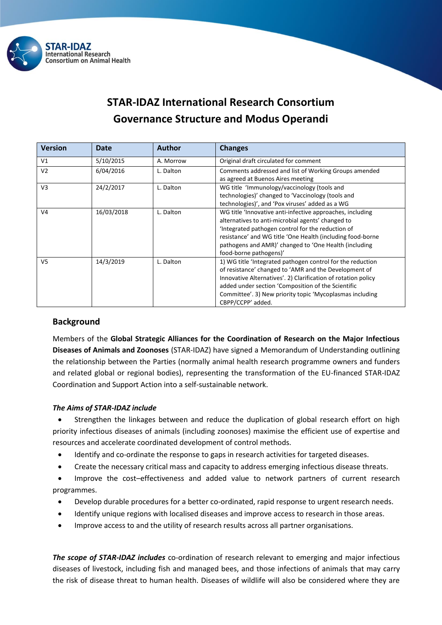

# **STAR-IDAZ International Research Consortium Governance Structure and Modus Operandi**

| <b>Version</b> | Date       | <b>Author</b> | <b>Changes</b>                                                                                                                                                                                                                                                                                                              |
|----------------|------------|---------------|-----------------------------------------------------------------------------------------------------------------------------------------------------------------------------------------------------------------------------------------------------------------------------------------------------------------------------|
| V1             | 5/10/2015  | A. Morrow     | Original draft circulated for comment                                                                                                                                                                                                                                                                                       |
| V <sub>2</sub> | 6/04/2016  | L. Dalton     | Comments addressed and list of Working Groups amended<br>as agreed at Buenos Aires meeting                                                                                                                                                                                                                                  |
| V <sub>3</sub> | 24/2/2017  | L. Dalton     | WG title 'Immunology/vaccinology (tools and<br>technologies)' changed to 'Vaccinology (tools and<br>technologies)', and 'Pox viruses' added as a WG                                                                                                                                                                         |
| V <sub>4</sub> | 16/03/2018 | L. Dalton     | WG title 'Innovative anti-infective approaches, including<br>alternatives to anti-microbial agents' changed to<br>'Integrated pathogen control for the reduction of<br>resistance' and WG title 'One Health (including food-borne<br>pathogens and AMR)' changed to 'One Health (including<br>food-borne pathogens)'        |
| V <sub>5</sub> | 14/3/2019  | L. Dalton     | 1) WG title 'Integrated pathogen control for the reduction<br>of resistance' changed to 'AMR and the Development of<br>Innovative Alternatives'. 2) Clarification of rotation policy<br>added under section 'Composition of the Scientific<br>Committee'. 3) New priority topic 'Mycoplasmas including<br>CBPP/CCPP' added. |

# **Background**

Members of the **Global Strategic Alliances for the Coordination of Research on the Major Infectious Diseases of Animals and Zoonoses** (STAR-IDAZ) have signed a Memorandum of Understanding outlining the relationship between the Parties (normally animal health research programme owners and funders and related global or regional bodies), representing the transformation of the EU-financed STAR-IDAZ Coordination and Support Action into a self-sustainable network.

## *The Aims of STAR-IDAZ include*

 Strengthen the linkages between and reduce the duplication of global research effort on high priority infectious diseases of animals (including zoonoses) maximise the efficient use of expertise and resources and accelerate coordinated development of control methods.

- Identify and co-ordinate the response to gaps in research activities for targeted diseases.
- Create the necessary critical mass and capacity to address emerging infectious disease threats.

 Improve the cost–effectiveness and added value to network partners of current research programmes.

- Develop durable procedures for a better co-ordinated, rapid response to urgent research needs.
- Identify unique regions with localised diseases and improve access to research in those areas.
- Improve access to and the utility of research results across all partner organisations.

*The scope of STAR-IDAZ includes* co-ordination of research relevant to emerging and major infectious diseases of livestock, including fish and managed bees, and those infections of animals that may carry the risk of disease threat to human health. Diseases of wildlife will also be considered where they are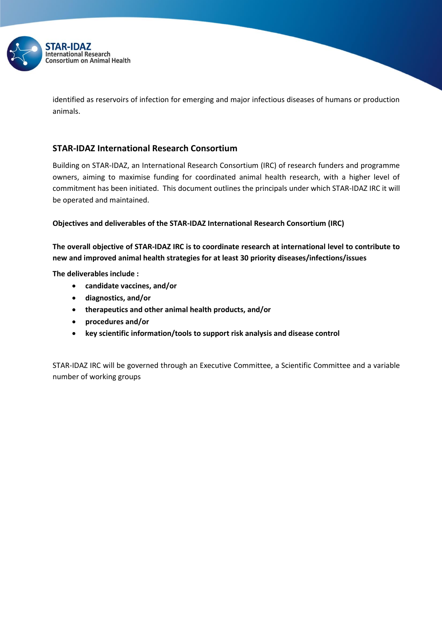

identified as reservoirs of infection for emerging and major infectious diseases of humans or production animals.

# **STAR-IDAZ International Research Consortium**

Building on STAR-IDAZ, an International Research Consortium (IRC) of research funders and programme owners, aiming to maximise funding for coordinated animal health research, with a higher level of commitment has been initiated. This document outlines the principals under which STAR-IDAZ IRC it will be operated and maintained.

## **Objectives and deliverables of the STAR-IDAZ International Research Consortium (IRC)**

**The overall objective of STAR-IDAZ IRC is to coordinate research at international level to contribute to new and improved animal health strategies for at least 30 priority diseases/infections/issues** 

**The deliverables include :**

- **candidate vaccines, and/or**
- **diagnostics, and/or**
- **therapeutics and other animal health products, and/or**
- **procedures and/or**
- **key scientific information/tools to support risk analysis and disease control**

STAR-IDAZ IRC will be governed through an Executive Committee, a Scientific Committee and a variable number of working groups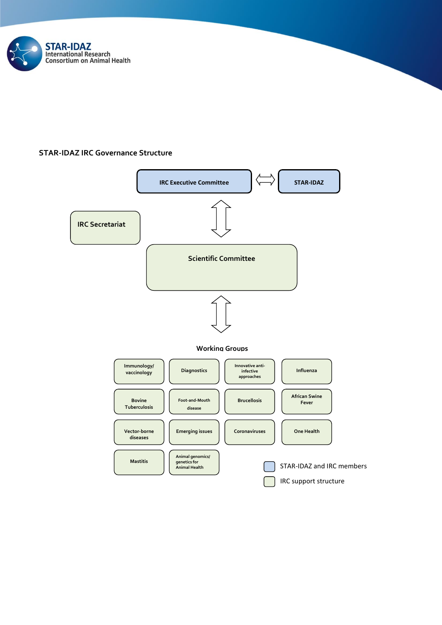

## **STAR-IDAZ IRC Governance Structure**

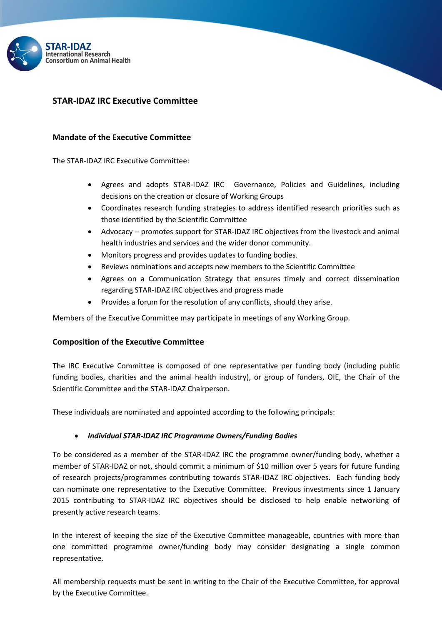

# **STAR-IDAZ IRC Executive Committee**

## **Mandate of the Executive Committee**

The STAR-IDAZ IRC Executive Committee:

- Agrees and adopts STAR-IDAZ IRC Governance, Policies and Guidelines, including decisions on the creation or closure of Working Groups
- Coordinates research funding strategies to address identified research priorities such as those identified by the Scientific Committee
- Advocacy promotes support for STAR-IDAZ IRC objectives from the livestock and animal health industries and services and the wider donor community.
- Monitors progress and provides updates to funding bodies.
- Reviews nominations and accepts new members to the Scientific Committee
- Agrees on a Communication Strategy that ensures timely and correct dissemination regarding STAR-IDAZ IRC objectives and progress made
- Provides a forum for the resolution of any conflicts, should they arise.

Members of the Executive Committee may participate in meetings of any Working Group.

## **Composition of the Executive Committee**

The IRC Executive Committee is composed of one representative per funding body (including public funding bodies, charities and the animal health industry), or group of funders, OIE, the Chair of the Scientific Committee and the STAR-IDAZ Chairperson.

These individuals are nominated and appointed according to the following principals:

#### *Individual STAR-IDAZ IRC Programme Owners/Funding Bodies*

To be considered as a member of the STAR-IDAZ IRC the programme owner/funding body, whether a member of STAR-IDAZ or not, should commit a minimum of \$10 million over 5 years for future funding of research projects/programmes contributing towards STAR-IDAZ IRC objectives. Each funding body can nominate one representative to the Executive Committee. Previous investments since 1 January 2015 contributing to STAR-IDAZ IRC objectives should be disclosed to help enable networking of presently active research teams.

In the interest of keeping the size of the Executive Committee manageable, countries with more than one committed programme owner/funding body may consider designating a single common representative.

All membership requests must be sent in writing to the Chair of the Executive Committee, for approval by the Executive Committee.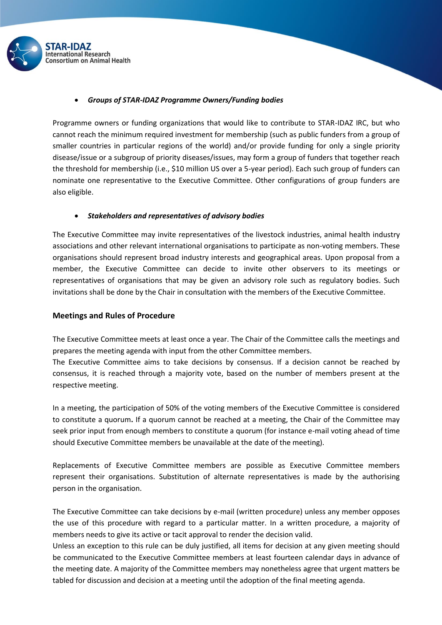

#### *Groups of STAR-IDAZ Programme Owners/Funding bodies*

Programme owners or funding organizations that would like to contribute to STAR-IDAZ IRC, but who cannot reach the minimum required investment for membership (such as public funders from a group of smaller countries in particular regions of the world) and/or provide funding for only a single priority disease/issue or a subgroup of priority diseases/issues, may form a group of funders that together reach the threshold for membership (i.e., \$10 million US over a 5-year period). Each such group of funders can nominate one representative to the Executive Committee. Other configurations of group funders are also eligible.

## *Stakeholders and representatives of advisory bodies*

The Executive Committee may invite representatives of the livestock industries, animal health industry associations and other relevant international organisations to participate as non-voting members. These organisations should represent broad industry interests and geographical areas. Upon proposal from a member, the Executive Committee can decide to invite other observers to its meetings or representatives of organisations that may be given an advisory role such as regulatory bodies. Such invitations shall be done by the Chair in consultation with the members of the Executive Committee.

#### **Meetings and Rules of Procedure**

The Executive Committee meets at least once a year. The Chair of the Committee calls the meetings and prepares the meeting agenda with input from the other Committee members.

The Executive Committee aims to take decisions by consensus. If a decision cannot be reached by consensus, it is reached through a majority vote, based on the number of members present at the respective meeting.

In a meeting, the participation of 50% of the voting members of the Executive Committee is considered to constitute a quorum**.** If a quorum cannot be reached at a meeting, the Chair of the Committee may seek prior input from enough members to constitute a quorum (for instance e-mail voting ahead of time should Executive Committee members be unavailable at the date of the meeting).

Replacements of Executive Committee members are possible as Executive Committee members represent their organisations. Substitution of alternate representatives is made by the authorising person in the organisation.

The Executive Committee can take decisions by e-mail (written procedure) unless any member opposes the use of this procedure with regard to a particular matter. In a written procedure, a majority of members needs to give its active or tacit approval to render the decision valid.

Unless an exception to this rule can be duly justified, all items for decision at any given meeting should be communicated to the Executive Committee members at least fourteen calendar days in advance of the meeting date. A majority of the Committee members may nonetheless agree that urgent matters be tabled for discussion and decision at a meeting until the adoption of the final meeting agenda.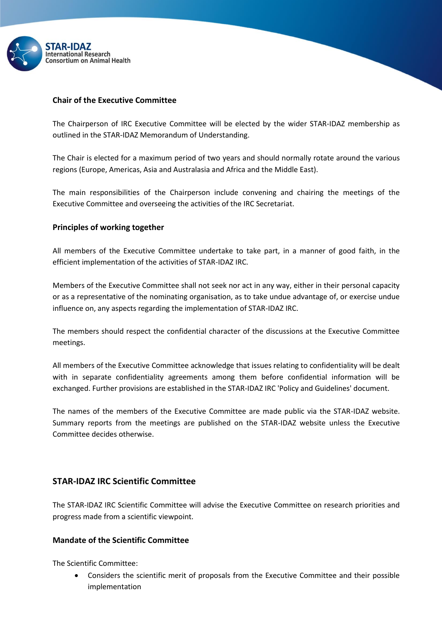

# **Chair of the Executive Committee**

The Chairperson of IRC Executive Committee will be elected by the wider STAR-IDAZ membership as outlined in the STAR-IDAZ Memorandum of Understanding.

The Chair is elected for a maximum period of two years and should normally rotate around the various regions (Europe, Americas, Asia and Australasia and Africa and the Middle East).

The main responsibilities of the Chairperson include convening and chairing the meetings of the Executive Committee and overseeing the activities of the IRC Secretariat.

## **Principles of working together**

All members of the Executive Committee undertake to take part, in a manner of good faith, in the efficient implementation of the activities of STAR-IDAZ IRC.

Members of the Executive Committee shall not seek nor act in any way, either in their personal capacity or as a representative of the nominating organisation, as to take undue advantage of, or exercise undue influence on, any aspects regarding the implementation of STAR-IDAZ IRC.

The members should respect the confidential character of the discussions at the Executive Committee meetings.

All members of the Executive Committee acknowledge that issues relating to confidentiality will be dealt with in separate confidentiality agreements among them before confidential information will be exchanged. Further provisions are established in the STAR-IDAZ IRC 'Policy and Guidelines' document.

The names of the members of the Executive Committee are made public via the STAR-IDAZ website. Summary reports from the meetings are published on the STAR-IDAZ website unless the Executive Committee decides otherwise.

# **STAR-IDAZ IRC Scientific Committee**

The STAR-IDAZ IRC Scientific Committee will advise the Executive Committee on research priorities and progress made from a scientific viewpoint.

# **Mandate of the Scientific Committee**

The Scientific Committee:

 Considers the scientific merit of proposals from the Executive Committee and their possible implementation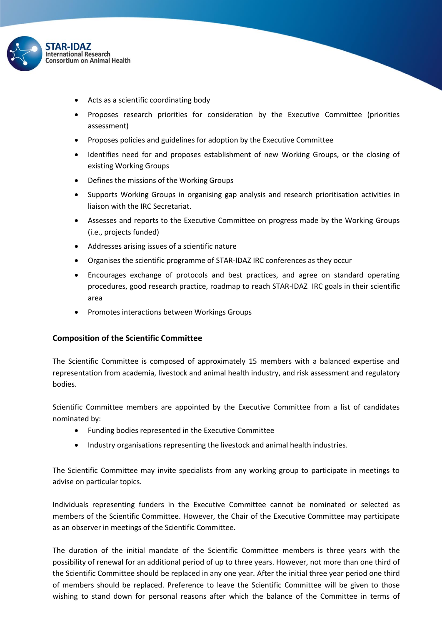

- Acts as a scientific coordinating body
- Proposes research priorities for consideration by the Executive Committee (priorities assessment)
- Proposes policies and guidelines for adoption by the Executive Committee
- Identifies need for and proposes establishment of new Working Groups, or the closing of existing Working Groups
- Defines the missions of the Working Groups
- Supports Working Groups in organising gap analysis and research prioritisation activities in liaison with the IRC Secretariat.
- Assesses and reports to the Executive Committee on progress made by the Working Groups (i.e., projects funded)
- Addresses arising issues of a scientific nature
- Organises the scientific programme of STAR-IDAZ IRC conferences as they occur
- Encourages exchange of protocols and best practices, and agree on standard operating procedures, good research practice, roadmap to reach STAR-IDAZ IRC goals in their scientific area
- Promotes interactions between Workings Groups

## **Composition of the Scientific Committee**

The Scientific Committee is composed of approximately 15 members with a balanced expertise and representation from academia, livestock and animal health industry, and risk assessment and regulatory bodies.

Scientific Committee members are appointed by the Executive Committee from a list of candidates nominated by:

- Funding bodies represented in the Executive Committee
- Industry organisations representing the livestock and animal health industries.

The Scientific Committee may invite specialists from any working group to participate in meetings to advise on particular topics.

Individuals representing funders in the Executive Committee cannot be nominated or selected as members of the Scientific Committee. However, the Chair of the Executive Committee may participate as an observer in meetings of the Scientific Committee.

The duration of the initial mandate of the Scientific Committee members is three years with the possibility of renewal for an additional period of up to three years. However, not more than one third of the Scientific Committee should be replaced in any one year. After the initial three year period one third of members should be replaced. Preference to leave the Scientific Committee will be given to those wishing to stand down for personal reasons after which the balance of the Committee in terms of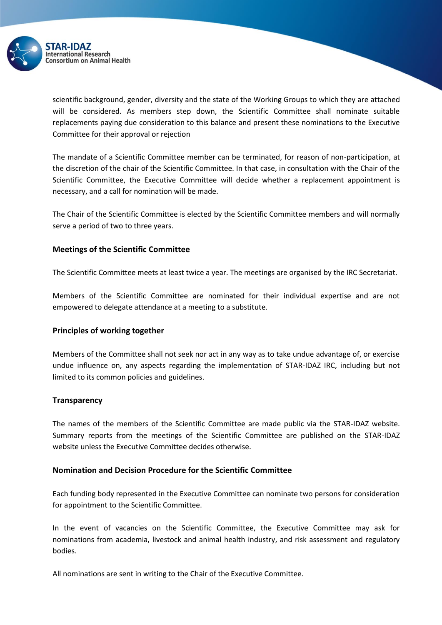

scientific background, gender, diversity and the state of the Working Groups to which they are attached will be considered. As members step down, the Scientific Committee shall nominate suitable replacements paying due consideration to this balance and present these nominations to the Executive Committee for their approval or rejection

The mandate of a Scientific Committee member can be terminated, for reason of non-participation, at the discretion of the chair of the Scientific Committee. In that case, in consultation with the Chair of the Scientific Committee, the Executive Committee will decide whether a replacement appointment is necessary, and a call for nomination will be made.

The Chair of the Scientific Committee is elected by the Scientific Committee members and will normally serve a period of two to three years.

## **Meetings of the Scientific Committee**

The Scientific Committee meets at least twice a year. The meetings are organised by the IRC Secretariat.

Members of the Scientific Committee are nominated for their individual expertise and are not empowered to delegate attendance at a meeting to a substitute.

#### **Principles of working together**

Members of the Committee shall not seek nor act in any way as to take undue advantage of, or exercise undue influence on, any aspects regarding the implementation of STAR-IDAZ IRC, including but not limited to its common policies and guidelines.

#### **Transparency**

The names of the members of the Scientific Committee are made public via the STAR-IDAZ website. Summary reports from the meetings of the Scientific Committee are published on the STAR-IDAZ website unless the Executive Committee decides otherwise.

## **Nomination and Decision Procedure for the Scientific Committee**

Each funding body represented in the Executive Committee can nominate two persons for consideration for appointment to the Scientific Committee.

In the event of vacancies on the Scientific Committee, the Executive Committee may ask for nominations from academia, livestock and animal health industry, and risk assessment and regulatory bodies.

All nominations are sent in writing to the Chair of the Executive Committee.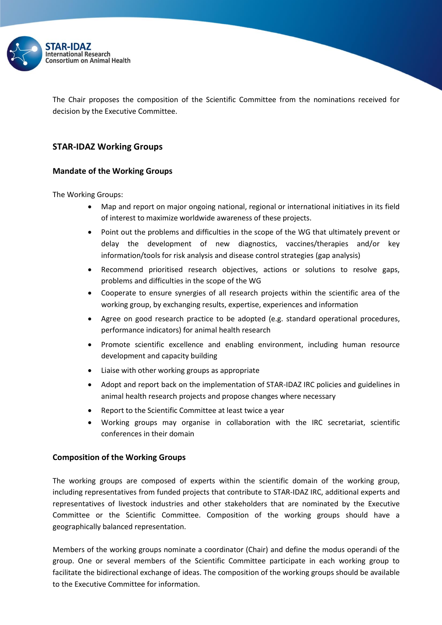

The Chair proposes the composition of the Scientific Committee from the nominations received for decision by the Executive Committee.

# **STAR-IDAZ Working Groups**

## **Mandate of the Working Groups**

The Working Groups:

- Map and report on major ongoing national, regional or international initiatives in its field of interest to maximize worldwide awareness of these projects.
- Point out the problems and difficulties in the scope of the WG that ultimately prevent or delay the development of new diagnostics, vaccines/therapies and/or key information/tools for risk analysis and disease control strategies (gap analysis)
- Recommend prioritised research objectives, actions or solutions to resolve gaps, problems and difficulties in the scope of the WG
- Cooperate to ensure synergies of all research projects within the scientific area of the working group, by exchanging results, expertise, experiences and information
- Agree on good research practice to be adopted (e.g. standard operational procedures, performance indicators) for animal health research
- Promote scientific excellence and enabling environment, including human resource development and capacity building
- Liaise with other working groups as appropriate
- Adopt and report back on the implementation of STAR-IDAZ IRC policies and guidelines in animal health research projects and propose changes where necessary
- Report to the Scientific Committee at least twice a year
- Working groups may organise in collaboration with the IRC secretariat, scientific conferences in their domain

#### **Composition of the Working Groups**

The working groups are composed of experts within the scientific domain of the working group, including representatives from funded projects that contribute to STAR-IDAZ IRC, additional experts and representatives of livestock industries and other stakeholders that are nominated by the Executive Committee or the Scientific Committee. Composition of the working groups should have a geographically balanced representation.

Members of the working groups nominate a coordinator (Chair) and define the modus operandi of the group. One or several members of the Scientific Committee participate in each working group to facilitate the bidirectional exchange of ideas. The composition of the working groups should be available to the Executive Committee for information.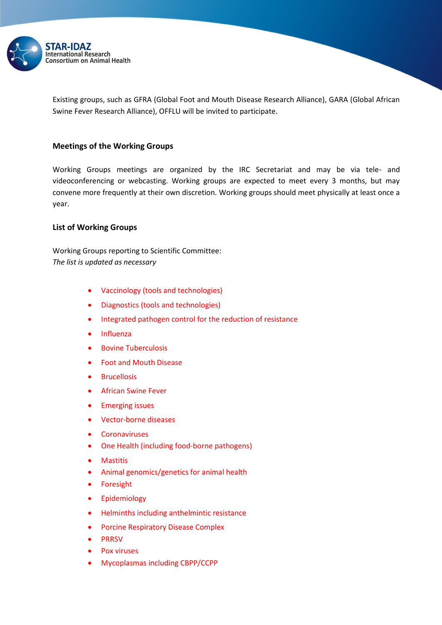

Existing groups, such as GFRA (Global Foot and Mouth Disease Research Alliance), GARA (Global African Swine Fever Research Alliance), OFFLU will be invited to participate.

## **Meetings of the Working Groups**

Working Groups meetings are organized by the IRC Secretariat and may be via tele- and videoconferencing or webcasting. Working groups are expected to meet every 3 months, but may convene more frequently at their own discretion. Working groups should meet physically at least once a year.

## **List of Working Groups**

Working Groups reporting to Scientific Committee: *The list is updated as necessary*

- Vaccinology (tools and technologies)
- Diagnostics (tools and technologies)
- Integrated pathogen control for the reduction of resistance
- Influenza
- Bovine Tuberculosis
- Foot and Mouth Disease
- Brucellosis
- African Swine Fever
- **•** Emerging issues
- Vector-borne diseases
- Coronaviruses
- One Health (including food-borne pathogens)
- Mastitis
- Animal genomics/genetics for animal health
- Foresight
- **•** Epidemiology
- Helminths including anthelmintic resistance
- **Porcine Respiratory Disease Complex**
- PRRSV
- Pox viruses
- Mycoplasmas including CBPP/CCPP